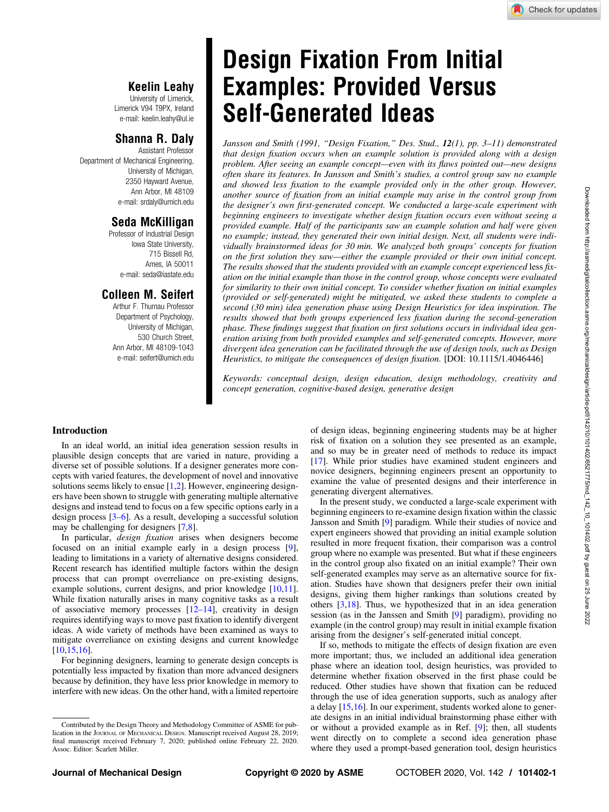## Keelin Leahy

University of Limerick, Limerick V94 T9PX, Ireland e-mail: [keelin.leahy@ul.ie](mailto:keelin.leahy@ul.ie)

### Shanna R. Daly

Assistant Professor Department of Mechanical Engineering, University of Michigan, 2350 Hayward Avenue, Ann Arbor, MI 48109 e-mail: [srdaly@umich.edu](mailto:srdaly@umich.edu)

### Seda McKilligan

Professor of Industrial Design Iowa State University, 715 Bissell Rd, Ames, IA 50011 e-mail: [seda@iastate.edu](mailto:seda@iastate.edu)

### Colleen M. Seifert

Arthur F. Thurnau Professor Department of Psychology, University of Michigan, 530 Church Street, Ann Arbor, MI 48109-1043 e-mail: [seifert@umich.edu](mailto:seifert@umich.edu)

# Design Fixation From Initial Examples: Provided Versus Self-Generated Ideas

Jansson and Smith (1991, "Design Fixation," Des. Stud., 12(1), pp. 3–11) demonstrated that design fixation occurs when an example solution is provided along with a design problem. After seeing an example concept—even with its flaws pointed out—new designs often share its features. In Jansson and Smith's studies, a control group saw no example and showed less fixation to the example provided only in the other group. However, another source of fixation from an initial example may arise in the control group from the designer's own first-generated concept. We conducted a large-scale experiment with beginning engineers to investigate whether design fixation occurs even without seeing a provided example. Half of the participants saw an example solution and half were given no example; instead, they generated their own initial design. Next, all students were individually brainstormed ideas for 30 min. We analyzed both groups' concepts for fixation on the first solution they saw—either the example provided or their own initial concept. The results showed that the students provided with an example concept experienced less fixation on the initial example than those in the control group, whose concepts were evaluated for similarity to their own initial concept. To consider whether fixation on initial examples (provided or self-generated) might be mitigated, we asked these students to complete a second (30 min) idea generation phase using Design Heuristics for idea inspiration. The results showed that both groups experienced less fixation during the second-generation phase. These findings suggest that fixation on first solutions occurs in individual idea generation arising from both provided examples and self-generated concepts. However, more divergent idea generation can be facilitated through the use of design tools, such as Design Heuristics, to mitigate the consequences of design fixation. [DOI: 10.1115/1.4046446]

Keywords: conceptual design, design education, design methodology, creativity and concept generation, cognitive-based design, generative design

### Introduction

In an ideal world, an initial idea generation session results in plausible design concepts that are varied in nature, providing a diverse set of possible solutions. If a designer generates more concepts with varied features, the development of novel and innovative solutions seems likely to ensue  $[1,2]$ . However, engineering designers have been shown to struggle with generating multiple alternative designs and instead tend to focus on a few specific options early in a design process [3–6]. As a result, developing a successful solution may be challenging for designers [[7,8\]](#page-9-0).

In particular, design fixation arises when designers become focused on an initial example early in a design process [\[9\]](#page-9-0), leading to limitations in a variety of alternative designs considered. Recent research has identified multiple factors within the design process that can prompt overreliance on pre-existing designs, example solutions, current designs, and prior knowledge [[10,11\]](#page-9-0). While fixation naturally arises in many cognitive tasks as a result of associative memory processes [12–14], creativity in design requires identifying ways to move past fixation to identify divergent ideas. A wide variety of methods have been examined as ways to mitigate overreliance on existing designs and current knowledge [[10,](#page-9-0)[15,16](#page-10-0)].

For beginning designers, learning to generate design concepts is potentially less impacted by fixation than more advanced designers because by definition, they have less prior knowledge in memory to interfere with new ideas. On the other hand, with a limited repertoire of design ideas, beginning engineering students may be at higher risk of fixation on a solution they see presented as an example, and so may be in greater need of methods to reduce its impact [[17\]](#page-10-0). While prior studies have examined student engineers and novice designers, beginning engineers present an opportunity to examine the value of presented designs and their interference in generating divergent alternatives.

In the present study, we conducted a large-scale experiment with beginning engineers to re-examine design fixation within the classic Jansson and Smith [\[9\]](#page-9-0) paradigm. While their studies of novice and expert engineers showed that providing an initial example solution resulted in more frequent fixation, their comparison was a control group where no example was presented. But what if these engineers in the control group also fixated on an initial example? Their own self-generated examples may serve as an alternative source for fixation. Studies have shown that designers prefer their own initial designs, giving them higher rankings than solutions created by others [[3](#page-9-0)[,18](#page-10-0)]. Thus, we hypothesized that in an idea generation session (as in the Janssen and Smith [[9\]](#page-9-0) paradigm), providing no example (in the control group) may result in initial example fixation arising from the designer's self-generated initial concept.

If so, methods to mitigate the effects of design fixation are even more important; thus, we included an additional idea generation phase where an ideation tool, design heuristics, was provided to determine whether fixation observed in the first phase could be reduced. Other studies have shown that fixation can be reduced through the use of idea generation supports, such as analogy after a delay [[15,16\]](#page-10-0). In our experiment, students worked alone to generate designs in an initial individual brainstorming phase either with or without a provided example as in Ref. [\[9\]](#page-9-0); then, all students went directly on to complete a second idea generation phase where they used a prompt-based generation tool, design heuristics

Contributed by the Design Theory and Methodology Committee of ASME for publication in the JOURNAL OF MECHANICAL DESIGN. Manuscript received August 28, 2019; final manuscript received February 7, 2020; published online February 22, 2020. Assoc. Editor: Scarlett Miller.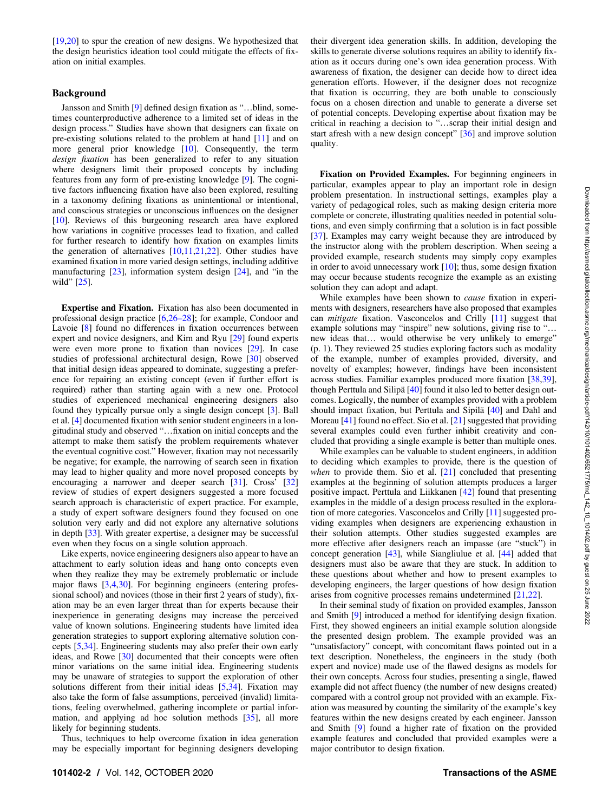[[19,20](#page-10-0)] to spur the creation of new designs. We hypothesized that the design heuristics ideation tool could mitigate the effects of fixation on initial examples.

### Background

Jansson and Smith [\[9\]](#page-9-0) defined design fixation as "…blind, sometimes counterproductive adherence to a limited set of ideas in the design process." Studies have shown that designers can fixate on pre-existing solutions related to the problem at hand [[11\]](#page-9-0) and on more general prior knowledge [[10\]](#page-9-0). Consequently, the term design fixation has been generalized to refer to any situation where designers limit their proposed concepts by including features from any form of pre-existing knowledge [[9](#page-9-0)]. The cognitive factors influencing fixation have also been explored, resulting in a taxonomy defining fixations as unintentional or intentional, and conscious strategies or unconscious influences on the designer [[10\]](#page-9-0). Reviews of this burgeoning research area have explored how variations in cognitive processes lead to fixation, and called for further research to identify how fixation on examples limits the generation of alternatives [\[10,11](#page-9-0),[21,22\]](#page-10-0). Other studies have examined fixation in more varied design settings, including additive manufacturing [\[23](#page-10-0)], information system design [\[24](#page-10-0)], and "in the wild" [\[25](#page-10-0)].

Expertise and Fixation. Fixation has also been documented in professional design practice [[6](#page-9-0),26–28]; for example, Condoor and Lavoie [\[8\]](#page-9-0) found no differences in fixation occurrences between expert and novice designers, and Kim and Ryu [\[29](#page-10-0)] found experts were even more prone to fixation than novices [\[29](#page-10-0)]. In case studies of professional architectural design, Rowe [\[30](#page-10-0)] observed that initial design ideas appeared to dominate, suggesting a preference for repairing an existing concept (even if further effort is required) rather than starting again with a new one. Protocol studies of experienced mechanical engineering designers also found they typically pursue only a single design concept [[3](#page-9-0)]. Ball et al. [[4](#page-9-0)] documented fixation with senior student engineers in a longitudinal study and observed "…fixation on initial concepts and the attempt to make them satisfy the problem requirements whatever the eventual cognitive cost." However, fixation may not necessarily be negative; for example, the narrowing of search seen in fixation may lead to higher quality and more novel proposed concepts by encouraging a narrower and deeper search [[31\]](#page-10-0). Cross' [\[32](#page-10-0)] review of studies of expert designers suggested a more focused search approach is characteristic of expert practice. For example, a study of expert software designers found they focused on one solution very early and did not explore any alternative solutions in depth [[33\]](#page-10-0). With greater expertise, a designer may be successful even when they focus on a single solution approach.

Like experts, novice engineering designers also appear to have an attachment to early solution ideas and hang onto concepts even when they realize they may be extremely problematic or include major flaws [\[3,4](#page-9-0),[30\]](#page-10-0). For beginning engineers (entering professional school) and novices (those in their first 2 years of study), fixation may be an even larger threat than for experts because their inexperience in generating designs may increase the perceived value of known solutions. Engineering students have limited idea generation strategies to support exploring alternative solution concepts [[5](#page-9-0),[34\]](#page-10-0). Engineering students may also prefer their own early ideas, and Rowe [[30\]](#page-10-0) documented that their concepts were often minor variations on the same initial idea. Engineering students may be unaware of strategies to support the exploration of other solutions different from their initial ideas  $[5,34]$  $[5,34]$  $[5,34]$ . Fixation may also take the form of false assumptions, perceived (invalid) limitations, feeling overwhelmed, gathering incomplete or partial information, and applying ad hoc solution methods [[35\]](#page-10-0), all more likely for beginning students.

Thus, techniques to help overcome fixation in idea generation may be especially important for beginning designers developing their divergent idea generation skills. In addition, developing the skills to generate diverse solutions requires an ability to identify fixation as it occurs during one's own idea generation process. With awareness of fixation, the designer can decide how to direct idea generation efforts. However, if the designer does not recognize that fixation is occurring, they are both unable to consciously focus on a chosen direction and unable to generate a diverse set of potential concepts. Developing expertise about fixation may be critical in reaching a decision to "…scrap their initial design and start afresh with a new design concept" [[36\]](#page-10-0) and improve solution quality.

Fixation on Provided Examples. For beginning engineers in particular, examples appear to play an important role in design problem presentation. In instructional settings, examples play a variety of pedagogical roles, such as making design criteria more complete or concrete, illustrating qualities needed in potential solutions, and even simply confirming that a solution is in fact possible [[37\]](#page-10-0). Examples may carry weight because they are introduced by the instructor along with the problem description. When seeing a provided example, research students may simply copy examples in order to avoid unnecessary work  $[10]$  $[10]$ ; thus, some design fixation may occur because students recognize the example as an existing solution they can adopt and adapt.

While examples have been shown to *cause* fixation in experiments with designers, researchers have also proposed that examples can mitigate fixation. Vasconcelos and Crilly [\[11](#page-9-0)] suggest that example solutions may "inspire" new solutions, giving rise to "... new ideas that… would otherwise be very unlikely to emerge" (p. 1). They reviewed 25 studies exploring factors such as modality of the example, number of examples provided, diversity, and novelty of examples; however, findings have been inconsistent across studies. Familiar examples produced more fixation [[38,39\]](#page-10-0), though Perttula and Silipä [[40\]](#page-10-0) found it also led to better design outcomes. Logically, the number of examples provided with a problem should impact fixation, but Perttula and Sipilä [\[40](#page-10-0)] and Dahl and Moreau [\[41](#page-10-0)] found no effect. Sio et al. [\[21](#page-10-0)] suggested that providing several examples could even further inhibit creativity and concluded that providing a single example is better than multiple ones.

While examples can be valuable to student engineers, in addition to deciding which examples to provide, there is the question of when to provide them. Sio et al. [[21\]](#page-10-0) concluded that presenting examples at the beginning of solution attempts produces a larger positive impact. Perttula and Liikkanen [\[42](#page-10-0)] found that presenting examples in the middle of a design process resulted in the exploration of more categories. Vasconcelos and Crilly [[11\]](#page-9-0) suggested providing examples when designers are experiencing exhaustion in their solution attempts. Other studies suggested examples are more effective after designers reach an impasse (are "stuck") in concept generation [\[43](#page-10-0)], while Siangliulue et al. [\[44](#page-10-0)] added that designers must also be aware that they are stuck. In addition to these questions about whether and how to present examples to developing engineers, the larger questions of how design fixation arises from cognitive processes remains undetermined [[21,22](#page-10-0)].

In their seminal study of fixation on provided examples, Jansson and Smith [[9](#page-9-0)] introduced a method for identifying design fixation. First, they showed engineers an initial example solution alongside the presented design problem. The example provided was an "unsatisfactory" concept, with concomitant flaws pointed out in a text description. Nonetheless, the engineers in the study (both expert and novice) made use of the flawed designs as models for their own concepts. Across four studies, presenting a single, flawed example did not affect fluency (the number of new designs created) compared with a control group not provided with an example. Fixation was measured by counting the similarity of the example's key features within the new designs created by each engineer. Jansson and Smith [[9](#page-9-0)] found a higher rate of fixation on the provided example features and concluded that provided examples were a major contributor to design fixation.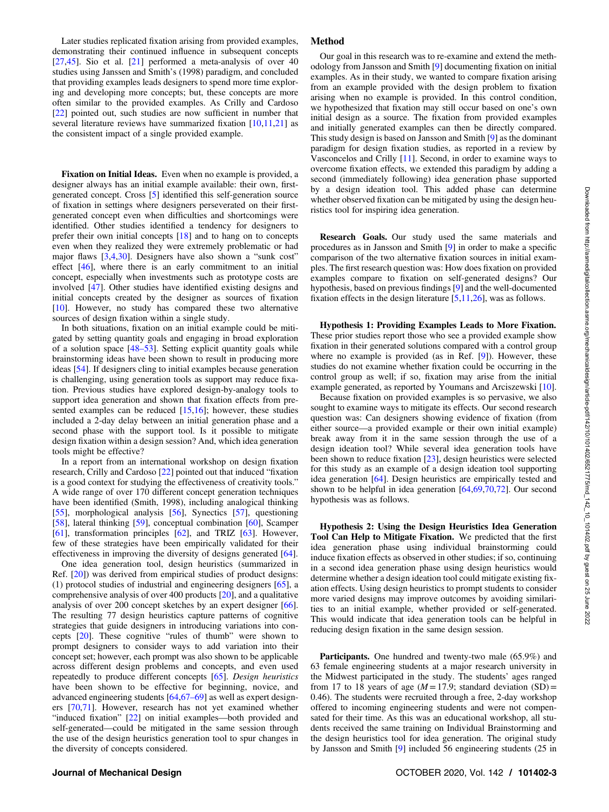Later studies replicated fixation arising from provided examples, demonstrating their continued influence in subsequent concepts [[27,45](#page-10-0)]. Sio et al. [\[21](#page-10-0)] performed a meta-analysis of over 40 studies using Janssen and Smith's (1998) paradigm, and concluded that providing examples leads designers to spend more time exploring and developing more concepts; but, these concepts are more often similar to the provided examples. As Crilly and Cardoso [[22\]](#page-10-0) pointed out, such studies are now sufficient in number that several literature reviews have summarized fixation  $[10,11,21]$  $[10,11,21]$  $[10,11,21]$  $[10,11,21]$  as the consistent impact of a single provided example.

Fixation on Initial Ideas. Even when no example is provided, a designer always has an initial example available: their own, firstgenerated concept. Cross [\[5\]](#page-9-0) identified this self-generation source of fixation in settings where designers perseverated on their firstgenerated concept even when difficulties and shortcomings were identified. Other studies identified a tendency for designers to prefer their own initial concepts [[18\]](#page-10-0) and to hang on to concepts even when they realized they were extremely problematic or had major flaws  $[3,4,30]$  $[3,4,30]$  $[3,4,30]$  $[3,4,30]$ . Designers have also shown a "sunk cost" effect [[46\]](#page-10-0), where there is an early commitment to an initial concept, especially when investments such as prototype costs are involved [[47\]](#page-10-0). Other studies have identified existing designs and initial concepts created by the designer as sources of fixation [[10\]](#page-9-0). However, no study has compared these two alternative sources of design fixation within a single study.

In both situations, fixation on an initial example could be mitigated by setting quantity goals and engaging in broad exploration of a solution space  $[48-53]$ . Setting explicit quantity goals while brainstorming ideas have been shown to result in producing more ideas [\[54](#page-10-0)]. If designers cling to initial examples because generation is challenging, using generation tools as support may reduce fixation. Previous studies have explored design-by-analogy tools to support idea generation and shown that fixation effects from presented examples can be reduced  $[15,16]$  $[15,16]$ ; however, these studies included a 2-day delay between an initial generation phase and a second phase with the support tool. Is it possible to mitigate design fixation within a design session? And, which idea generation tools might be effective?

In a report from an international workshop on design fixation research, Crilly and Cardoso [[22\]](#page-10-0) pointed out that induced "fixation is a good context for studying the effectiveness of creativity tools." A wide range of over 170 different concept generation techniques have been identified (Smith, 1998), including analogical thinking [[55\]](#page-10-0), morphological analysis [[56\]](#page-10-0), Synectics [[57\]](#page-10-0), questioning [[58\]](#page-10-0), lateral thinking [\[59\]](#page-10-0), conceptual combination [\[60](#page-10-0)], Scamper [[61\]](#page-10-0), transformation principles [[62\]](#page-10-0), and TRIZ [\[63](#page-10-0)]. However, few of these strategies have been empirically validated for their effectiveness in improving the diversity of designs generated [[64\]](#page-10-0).

One idea generation tool, design heuristics (summarized in Ref. [\[20](#page-10-0)]) was derived from empirical studies of product designs: (1) protocol studies of industrial and engineering designers [\[65](#page-10-0)], a comprehensive analysis of over 400 products [\[20](#page-10-0)], and a qualitative analysis of over 200 concept sketches by an expert designer [[66\]](#page-10-0). The resulting 77 design heuristics capture patterns of cognitive strategies that guide designers in introducing variations into concepts [\[20](#page-10-0)]. These cognitive "rules of thumb" were shown to prompt designers to consider ways to add variation into their concept set; however, each prompt was also shown to be applicable across different design problems and concepts, and even used repeatedly to produce different concepts [[65\]](#page-10-0). Design heuristics have been shown to be effective for beginning, novice, and advanced engineering students [\[64](#page-10-0),67–69] as well as expert designers [\[70,71](#page-10-0)]. However, research has not yet examined whether "induced fixation" [[22\]](#page-10-0) on initial examples—both provided and self-generated—could be mitigated in the same session through the use of the design heuristics generation tool to spur changes in the diversity of concepts considered.

### Method

Our goal in this research was to re-examine and extend the methodology from Jansson and Smith [\[9\]](#page-9-0) documenting fixation on initial examples. As in their study, we wanted to compare fixation arising from an example provided with the design problem to fixation arising when no example is provided. In this control condition, we hypothesized that fixation may still occur based on one's own initial design as a source. The fixation from provided examples and initially generated examples can then be directly compared. This study design is based on Jansson and Smith [\[9\]](#page-9-0) as the dominant paradigm for design fixation studies, as reported in a review by Vasconcelos and Crilly [[11\]](#page-9-0). Second, in order to examine ways to overcome fixation effects, we extended this paradigm by adding a second (immediately following) idea generation phase supported by a design ideation tool. This added phase can determine whether observed fixation can be mitigated by using the design heuristics tool for inspiring idea generation.

Research Goals. Our study used the same materials and procedures as in Jansson and Smith [[9](#page-9-0)] in order to make a specific comparison of the two alternative fixation sources in initial examples. The first research question was: How does fixation on provided examples compare to fixation on self-generated designs? Our hypothesis, based on previous findings [\[9\]](#page-9-0) and the well-documented fixation effects in the design literature [\[5,11,](#page-9-0)[26](#page-10-0)], was as follows.

Hypothesis 1: Providing Examples Leads to More Fixation. These prior studies report those who see a provided example show fixation in their generated solutions compared with a control group where no example is provided (as in Ref. [\[9\]](#page-9-0)). However, these studies do not examine whether fixation could be occurring in the control group as well; if so, fixation may arise from the initial example generated, as reported by Youmans and Arciszewski [[10\]](#page-9-0).

Because fixation on provided examples is so pervasive, we also sought to examine ways to mitigate its effects. Our second research question was: Can designers showing evidence of fixation (from either source—a provided example or their own initial example) break away from it in the same session through the use of a design ideation tool? While several idea generation tools have been shown to reduce fixation [\[23](#page-10-0)], design heuristics were selected for this study as an example of a design ideation tool supporting idea generation [[64\]](#page-10-0). Design heuristics are empirically tested and shown to be helpful in idea generation [\[64](#page-10-0),[69,70,72](#page-10-0)]. Our second hypothesis was as follows.

Hypothesis 2: Using the Design Heuristics Idea Generation Tool Can Help to Mitigate Fixation. We predicted that the first idea generation phase using individual brainstorming could induce fixation effects as observed in other studies; if so, continuing in a second idea generation phase using design heuristics would determine whether a design ideation tool could mitigate existing fixation effects. Using design heuristics to prompt students to consider more varied designs may improve outcomes by avoiding similarities to an initial example, whether provided or self-generated. This would indicate that idea generation tools can be helpful in reducing design fixation in the same design session.

Participants. One hundred and twenty-two male (65.9%) and 63 female engineering students at a major research university in the Midwest participated in the study. The students' ages ranged from 17 to 18 years of age ( $M = 17.9$ ; standard deviation (SD) = 0.46). The students were recruited through a free, 2-day workshop offered to incoming engineering students and were not compensated for their time. As this was an educational workshop, all students received the same training on Individual Brainstorming and the design heuristics tool for idea generation. The original study by Jansson and Smith [\[9\]](#page-9-0) included 56 engineering students (25 in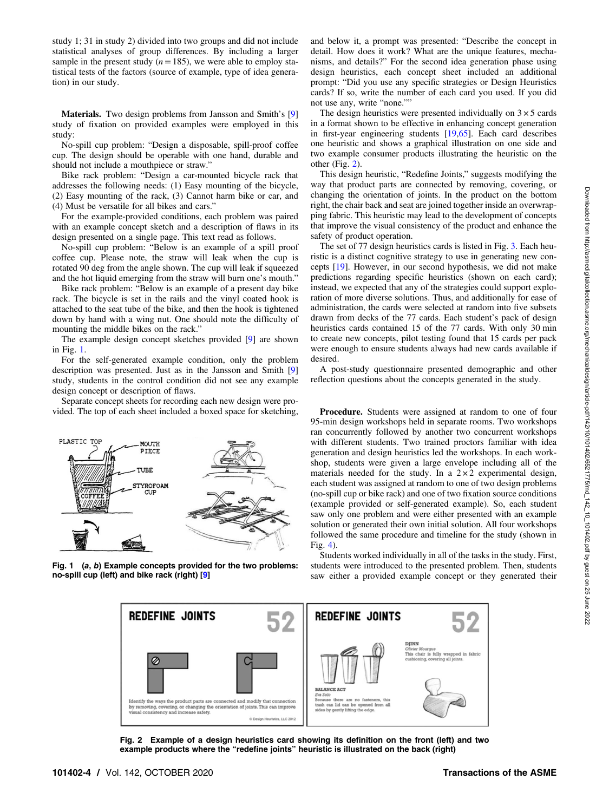<span id="page-3-0"></span>study 1; 31 in study 2) divided into two groups and did not include statistical analyses of group differences. By including a larger sample in the present study ( $n=185$ ), we were able to employ statistical tests of the factors (source of example, type of idea generation) in our study.

Materials. Two design problems from Jansson and Smith's [[9](#page-9-0)] study of fixation on provided examples were employed in this study:

No-spill cup problem: "Design a disposable, spill-proof coffee cup. The design should be operable with one hand, durable and should not include a mouthpiece or straw."

Bike rack problem: "Design a car-mounted bicycle rack that addresses the following needs: (1) Easy mounting of the bicycle, (2) Easy mounting of the rack, (3) Cannot harm bike or car, and (4) Must be versatile for all bikes and cars."

For the example-provided conditions, each problem was paired with an example concept sketch and a description of flaws in its design presented on a single page. This text read as follows.

No-spill cup problem: "Below is an example of a spill proof coffee cup. Please note, the straw will leak when the cup is rotated 90 deg from the angle shown. The cup will leak if squeezed and the hot liquid emerging from the straw will burn one's mouth."

Bike rack problem: "Below is an example of a present day bike rack. The bicycle is set in the rails and the vinyl coated hook is attached to the seat tube of the bike, and then the hook is tightened down by hand with a wing nut. One should note the difficulty of mounting the middle bikes on the rack."

The example design concept sketches provided [\[9\]](#page-9-0) are shown in Fig. 1.

For the self-generated example condition, only the problem description was presented. Just as in the Jansson and Smith [[9](#page-9-0)] study, students in the control condition did not see any example design concept or description of flaws.

Separate concept sheets for recording each new design were provided. The top of each sheet included a boxed space for sketching,



Fig. 1 (a, b) Example concepts provided for the two problems: no-spill cup (left) and bike rack (right) [[9](#page-9-0)]

and below it, a prompt was presented: "Describe the concept in detail. How does it work? What are the unique features, mechanisms, and details?" For the second idea generation phase using design heuristics, each concept sheet included an additional prompt: "Did you use any specific strategies or Design Heuristics cards? If so, write the number of each card you used. If you did not use any, write "none.""

The design heuristics were presented individually on  $3 \times 5$  cards in a format shown to be effective in enhancing concept generation in first-year engineering students [\[19](#page-10-0),[65\]](#page-10-0). Each card describes one heuristic and shows a graphical illustration on one side and two example consumer products illustrating the heuristic on the other (Fig. 2).

This design heuristic, "Redefine Joints," suggests modifying the way that product parts are connected by removing, covering, or changing the orientation of joints. In the product on the bottom right, the chair back and seat are joined together inside an overwrapping fabric. This heuristic may lead to the development of concepts that improve the visual consistency of the product and enhance the safety of product operation.

The set of 77 design heuristics cards is listed in Fig. [3.](#page-4-0) Each heuristic is a distinct cognitive strategy to use in generating new concepts [\[19](#page-10-0)]. However, in our second hypothesis, we did not make predictions regarding specific heuristics (shown on each card); instead, we expected that any of the strategies could support exploration of more diverse solutions. Thus, and additionally for ease of administration, the cards were selected at random into five subsets drawn from decks of the 77 cards. Each student's pack of design heuristics cards contained 15 of the 77 cards. With only 30 min to create new concepts, pilot testing found that 15 cards per pack were enough to ensure students always had new cards available if desired.

A post-study questionnaire presented demographic and other reflection questions about the concepts generated in the study.

Procedure. Students were assigned at random to one of four 95-min design workshops held in separate rooms. Two workshops ran concurrently followed by another two concurrent workshops with different students. Two trained proctors familiar with idea generation and design heuristics led the workshops. In each workshop, students were given a large envelope including all of the materials needed for the study. In a  $2 \times 2$  experimental design, each student was assigned at random to one of two design problems (no-spill cup or bike rack) and one of two fixation source conditions (example provided or self-generated example). So, each student saw only one problem and were either presented with an example solution or generated their own initial solution. All four workshops followed the same procedure and timeline for the study (shown in Fig. [4](#page-4-0)).

Students worked individually in all of the tasks in the study. First, students were introduced to the presented problem. Then, students saw either a provided example concept or they generated their



Fig. 2 Example of a design heuristics card showing its definition on the front (left) and two example products where the "redefine joints" heuristic is illustrated on the back (right)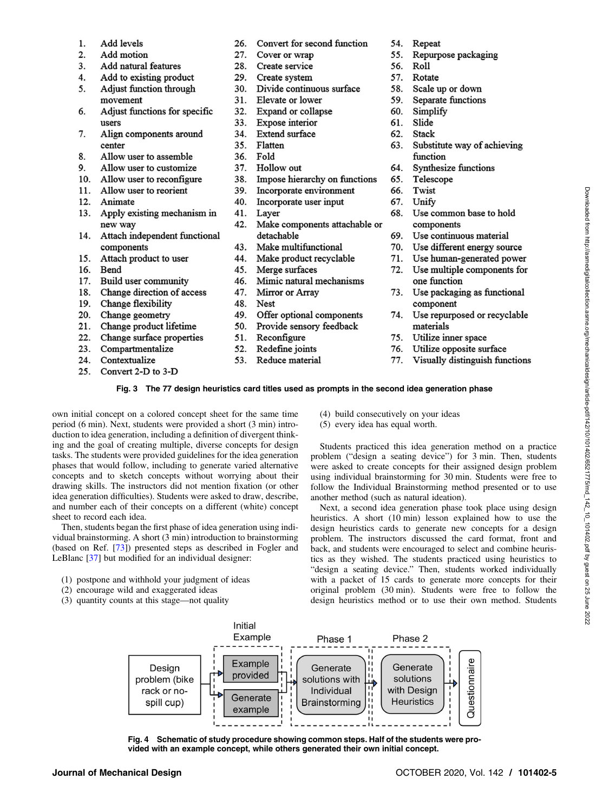- <span id="page-4-0"></span>1. Add levels
- Add motion 2.
- 3. Add natural features
- 4. Add to existing product
- Adjust function through 5. movement
- 6. Adjust functions for specific users
- 7. Align components around center
- 8. Allow user to assemble
- 9. Allow user to customize
- $10<sup>-10</sup>$ Allow user to reconfigure
- 11. Allow user to reorient
- 12. Animate
- 13. Apply existing mechanism in new way
- 14. Attach independent functional components
- 15. Attach product to user
- 16. Bend
- 17. Build user community
- Change direction of access 18.
- $19<sub>1</sub>$ Change flexibility
- 20. Change geometry
- 21. Change product lifetime
- 22. Change surface properties
- 23. Compartmentalize
- 24. Contextualize
- $25$ Convert 2-D to 3-D
- 26. Convert for second function
- Cover or wrap  $27$
- 28. Create service
- 29. Create system
- 30. Divide continuous surface
- 31. Elevate or lower
- 32. Expand or collapse
- 33. Expose interior
- 34. Extend surface
- 35. Flatten
- 36. Fold
- 37. Hollow out
- 38. Impose hierarchy on functions
- 39. Incorporate environment
- 40. Incorporate user input
- 41. Layer
- 42. Make components attachable or detachable
- 43. Make multifunctional
- 44. Make product recyclable
- 45. Merge surfaces
- 46. Mimic natural mechanisms
- 47.
- 48.
- 49. Offer optional components
- 
- 51. Reconfigure
- Redefine joints
- Reduce material
- 54. Repeat
- 55. Repurpose packaging
- 56. Roll
- 57. Rotate
- 58. Scale up or down
- 59. Separate functions
- 60. Simplify
- 61. Slide
- 62. Stack
- Substitute way of achieving 63. function
- 64. **Synthesize functions**
- 65. Telescope
- Twist 66.
- 67. Unify
- 68. Use common base to hold components
- 69. Use continuous material
- 70. Use different energy source
- 71. Use human-generated power
- Use multiple components for 72. one function
- 73. Use packaging as functional component
- 74. Use repurposed or recyclable materials
- 75. Utilize inner space
- 76. Utilize opposite surface
- 77. Visually distinguish functions

### Fig. 3 The 77 design heuristics card titles used as prompts in the second idea generation phase

own initial concept on a colored concept sheet for the same time period (6 min). Next, students were provided a short (3 min) introduction to idea generation, including a definition of divergent thinking and the goal of creating multiple, diverse concepts for design tasks. The students were provided guidelines for the idea generation phases that would follow, including to generate varied alternative concepts and to sketch concepts without worrying about their drawing skills. The instructors did not mention fixation (or other idea generation difficulties). Students were asked to draw, describe, and number each of their concepts on a different (white) concept sheet to record each idea.

Then, students began the first phase of idea generation using individual brainstorming. A short (3 min) introduction to brainstorming (based on Ref. [[73\]](#page-10-0)) presented steps as described in Fogler and LeBlanc [[37\]](#page-10-0) but modified for an individual designer:

- (1) postpone and withhold your judgment of ideas
- (2) encourage wild and exaggerated ideas
- (3) quantity counts at this stage—not quality
- (4) build consecutively on your ideas
- (5) every idea has equal worth.

Students practiced this idea generation method on a practice problem ("design a seating device") for 3 min. Then, students were asked to create concepts for their assigned design problem using individual brainstorming for 30 min. Students were free to follow the Individual Brainstorming method presented or to use another method (such as natural ideation).

Next, a second idea generation phase took place using design heuristics. A short (10 min) lesson explained how to use the design heuristics cards to generate new concepts for a design problem. The instructors discussed the card format, front and back, and students were encouraged to select and combine heuristics as they wished. The students practiced using heuristics to "design a seating device." Then, students worked individually with a packet of 15 cards to generate more concepts for their original problem (30 min). Students were free to follow the design heuristics method or to use their own method. Students



Fig. 4 Schematic of study procedure showing common steps. Half of the students were provided with an example concept, while others generated their own initial concept.

- 52. 53.
- Mirror or Array Nest
- 
- 50. Provide sensory feedback
- 
-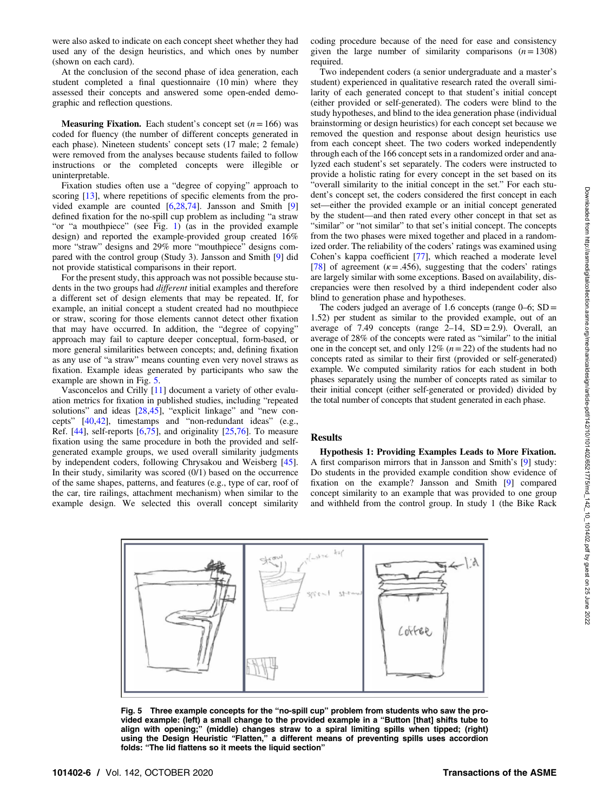were also asked to indicate on each concept sheet whether they had used any of the design heuristics, and which ones by number (shown on each card).

At the conclusion of the second phase of idea generation, each student completed a final questionnaire (10 min) where they assessed their concepts and answered some open-ended demographic and reflection questions.

**Measuring Fixation.** Each student's concept set  $(n=166)$  was coded for fluency (the number of different concepts generated in each phase). Nineteen students' concept sets (17 male; 2 female) were removed from the analyses because students failed to follow instructions or the completed concepts were illegible or uninterpretable.

Fixation studies often use a "degree of copying" approach to scoring [\[13](#page-9-0)], where repetitions of specific elements from the provided example are counted [[6](#page-9-0)[,28,74\]](#page-10-0). Jansson and Smith [[9](#page-9-0)] defined fixation for the no-spill cup problem as including "a straw "or "a mouthpiece" (see Fig. [1](#page-3-0)) (as in the provided example design) and reported the example-provided group created 16% more "straw" designs and 29% more "mouthpiece" designs compared with the control group (Study 3). Jansson and Smith [\[9\]](#page-9-0) did not provide statistical comparisons in their report.

For the present study, this approach was not possible because students in the two groups had different initial examples and therefore a different set of design elements that may be repeated. If, for example, an initial concept a student created had no mouthpiece or straw, scoring for those elements cannot detect other fixation that may have occurred. In addition, the "degree of copying" approach may fail to capture deeper conceptual, form-based, or more general similarities between concepts; and, defining fixation as any use of "a straw" means counting even very novel straws as fixation. Example ideas generated by participants who saw the example are shown in Fig. 5.

Vasconcelos and Crilly [\[11](#page-9-0)] document a variety of other evaluation metrics for fixation in published studies, including "repeated solutions" and ideas [[28,45\]](#page-10-0), "explicit linkage" and "new concepts" [[40,42\]](#page-10-0), timestamps and "non-redundant ideas" (e.g., Ref.  $[44]$  $[44]$ , self-reports  $[6,75]$  $[6,75]$ , and originality  $[25,76]$  $[25,76]$ . To measure fixation using the same procedure in both the provided and selfgenerated example groups, we used overall similarity judgments by independent coders, following Chrysakou and Weisberg [[45\]](#page-10-0). In their study, similarity was scored (0/1) based on the occurrence of the same shapes, patterns, and features (e.g., type of car, roof of the car, tire railings, attachment mechanism) when similar to the example design. We selected this overall concept similarity

coding procedure because of the need for ease and consistency given the large number of similarity comparisons  $(n=1308)$ required.

Two independent coders (a senior undergraduate and a master's student) experienced in qualitative research rated the overall similarity of each generated concept to that student's initial concept (either provided or self-generated). The coders were blind to the study hypotheses, and blind to the idea generation phase (individual brainstorming or design heuristics) for each concept set because we removed the question and response about design heuristics use from each concept sheet. The two coders worked independently through each of the 166 concept sets in a randomized order and analyzed each student's set separately. The coders were instructed to provide a holistic rating for every concept in the set based on its "overall similarity to the initial concept in the set." For each student's concept set, the coders considered the first concept in each set—either the provided example or an initial concept generated by the student—and then rated every other concept in that set as "similar" or "not similar" to that set's initial concept. The concepts from the two phases were mixed together and placed in a randomized order. The reliability of the coders' ratings was examined using Cohen's kappa coefficient [[77\]](#page-10-0), which reached a moderate level [[78\]](#page-10-0) of agreement ( $\kappa$  = .456), suggesting that the coders' ratings are largely similar with some exceptions. Based on availability, discrepancies were then resolved by a third independent coder also blind to generation phase and hypotheses.

The coders judged an average of 1.6 concepts (range  $0-6$ ; SD = 1.52) per student as similar to the provided example, out of an average of 7.49 concepts (range  $2-14$ ,  $SD = 2.9$ ). Overall, an average of 28% of the concepts were rated as "similar" to the initial one in the concept set, and only  $12\%$   $(n=22)$  of the students had no concepts rated as similar to their first (provided or self-generated) example. We computed similarity ratios for each student in both phases separately using the number of concepts rated as similar to their initial concept (either self-generated or provided) divided by the total number of concepts that student generated in each phase.

#### Results

Hypothesis 1: Providing Examples Leads to More Fixation. A first comparison mirrors that in Jansson and Smith's [[9](#page-9-0)] study: Do students in the provided example condition show evidence of fixation on the example? Jansson and Smith [\[9\]](#page-9-0) compared concept similarity to an example that was provided to one group and withheld from the control group. In study 1 (the Bike Rack



Fig. 5 Three example concepts for the "no-spill cup" problem from students who saw the provided example: (left) a small change to the provided example in a "Button [that] shifts tube to align with opening;" (middle) changes straw to a spiral limiting spills when tipped; (right) using the Design Heuristic "Flatten," a different means of preventing spills uses accordion folds: "The lid flattens so it meets the liquid section"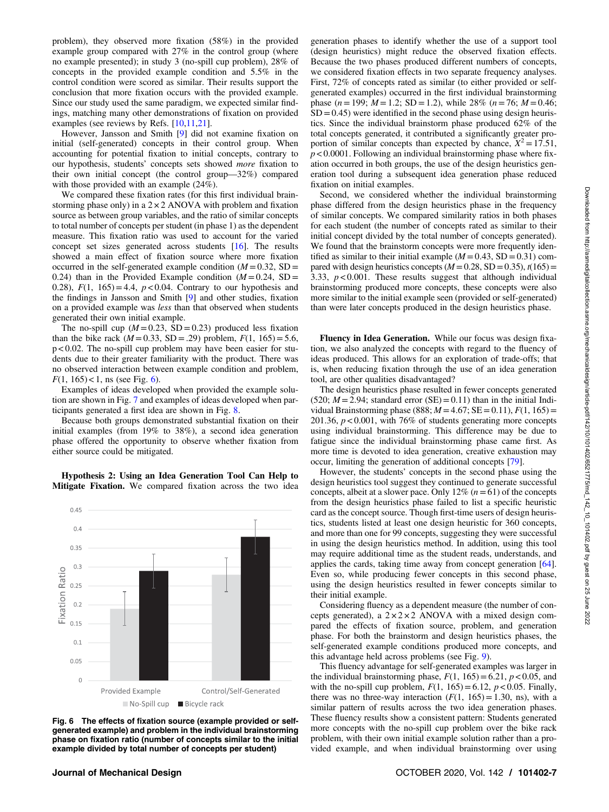problem), they observed more fixation (58%) in the provided example group compared with 27% in the control group (where no example presented); in study 3 (no-spill cup problem), 28% of concepts in the provided example condition and 5.5% in the control condition were scored as similar. Their results support the conclusion that more fixation occurs with the provided example. Since our study used the same paradigm, we expected similar findings, matching many other demonstrations of fixation on provided examples (see reviews by Refs. [\[10](#page-9-0),[11,](#page-9-0)[21\]](#page-10-0).

However, Jansson and Smith [\[9\]](#page-9-0) did not examine fixation on initial (self-generated) concepts in their control group. When accounting for potential fixation to initial concepts, contrary to our hypothesis, students' concepts sets showed more fixation to their own initial concept (the control group—32%) compared with those provided with an example (24%).

We compared these fixation rates (for this first individual brainstorming phase only) in a  $2 \times 2$  ANOVA with problem and fixation source as between group variables, and the ratio of similar concepts to total number of concepts per student (in phase 1) as the dependent measure. This fixation ratio was used to account for the varied concept set sizes generated across students [[16\]](#page-10-0). The results showed a main effect of fixation source where more fixation occurred in the self-generated example condition  $(M = 0.32, SD =$ 0.24) than in the Provided Example condition  $(M=0.24, SD=$ 0.28),  $F(1, 165) = 4.4$ ,  $p < 0.04$ . Contrary to our hypothesis and the findings in Jansson and Smith [[9](#page-9-0)] and other studies, fixation on a provided example was less than that observed when students generated their own initial example.

The no-spill cup  $(M = 0.23, SD = 0.23)$  produced less fixation than the bike rack  $(M = 0.33, SD = .29)$  problem,  $F(1, 165) = 5.6$ , p < 0.02. The no-spill cup problem may have been easier for students due to their greater familiarity with the product. There was no observed interaction between example condition and problem,  $F(1, 165)$  < 1, ns (see Fig. 6).

Examples of ideas developed when provided the example solution are shown in Fig. [7](#page-7-0) and examples of ideas developed when participants generated a first idea are shown in Fig. [8](#page-8-0).

Because both groups demonstrated substantial fixation on their initial examples (from 19% to 38%), a second idea generation phase offered the opportunity to observe whether fixation from either source could be mitigated.

Hypothesis 2: Using an Idea Generation Tool Can Help to Mitigate Fixation. We compared fixation across the two idea



Fig. 6 The effects of fixation source (example provided or selfgenerated example) and problem in the individual brainstorming phase on fixation ratio (number of concepts similar to the initial example divided by total number of concepts per student)

generation phases to identify whether the use of a support tool (design heuristics) might reduce the observed fixation effects. Because the two phases produced different numbers of concepts, we considered fixation effects in two separate frequency analyses. First, 72% of concepts rated as similar (to either provided or selfgenerated examples) occurred in the first individual brainstorming phase ( $n = 199$ ;  $M = 1.2$ ; SD = 1.2), while 28% ( $n = 76$ ;  $M = 0.46$ ;  $SD = 0.45$ ) were identified in the second phase using design heuristics. Since the individual brainstorm phase produced 62% of the total concepts generated, it contributed a significantly greater proportion of similar concepts than expected by chance,  $X^2 = 17.51$ ,  $p < 0.0001$ . Following an individual brainstorming phase where fixation occurred in both groups, the use of the design heuristics generation tool during a subsequent idea generation phase reduced fixation on initial examples.

Second, we considered whether the individual brainstorming phase differed from the design heuristics phase in the frequency of similar concepts. We compared similarity ratios in both phases for each student (the number of concepts rated as similar to their initial concept divided by the total number of concepts generated). We found that the brainstorm concepts were more frequently identified as similar to their initial example  $(M = 0.43, SD = 0.31)$  compared with design heuristics concepts ( $M = 0.28$ , SD = 0.35),  $t(165)$  = 3.33,  $p < 0.001$ . These results suggest that although individual brainstorming produced more concepts, these concepts were also more similar to the initial example seen (provided or self-generated) than were later concepts produced in the design heuristics phase.

Fluency in Idea Generation. While our focus was design fixation, we also analyzed the concepts with regard to the fluency of ideas produced. This allows for an exploration of trade-offs; that is, when reducing fixation through the use of an idea generation tool, are other qualities disadvantaged?

The design heuristics phase resulted in fewer concepts generated (520;  $M = 2.94$ ; standard error (SE) = 0.11) than in the initial Individual Brainstorming phase (888;  $M = 4.67$ ; SE = 0.11),  $F(1, 165)$  = 201.36,  $p < 0.001$ , with 76% of students generating more concepts using individual brainstorming. This difference may be due to fatigue since the individual brainstorming phase came first. As more time is devoted to idea generation, creative exhaustion may occur, limiting the generation of additional concepts [[79](#page-10-0)].

However, the students' concepts in the second phase using the design heuristics tool suggest they continued to generate successful concepts, albeit at a slower pace. Only  $12\%$   $(n=61)$  of the concepts from the design heuristics phase failed to list a specific heuristic card as the concept source. Though first-time users of design heuristics, students listed at least one design heuristic for 360 concepts, and more than one for 99 concepts, suggesting they were successful in using the design heuristics method. In addition, using this tool may require additional time as the student reads, understands, and applies the cards, taking time away from concept generation [[64\]](#page-10-0). Even so, while producing fewer concepts in this second phase, using the design heuristics resulted in fewer concepts similar to their initial example.

Considering fluency as a dependent measure (the number of concepts generated), a  $2 \times 2 \times 2$  ANOVA with a mixed design compared the effects of fixation source, problem, and generation phase. For both the brainstorm and design heuristics phases, the self-generated example conditions produced more concepts, and this advantage held across problems (see Fig. [9](#page-8-0)).

This fluency advantage for self-generated examples was larger in the individual brainstorming phase,  $F(1, 165) = 6.21$ ,  $p < 0.05$ , and with the no-spill cup problem,  $F(1, 165) = 6.12$ ,  $p < 0.05$ . Finally, there was no three-way interaction  $(F(1, 165)=1.30, \text{ns})$ , with a similar pattern of results across the two idea generation phases. These fluency results show a consistent pattern: Students generated more concepts with the no-spill cup problem over the bike rack problem, with their own initial example solution rather than a provided example, and when individual brainstorming over using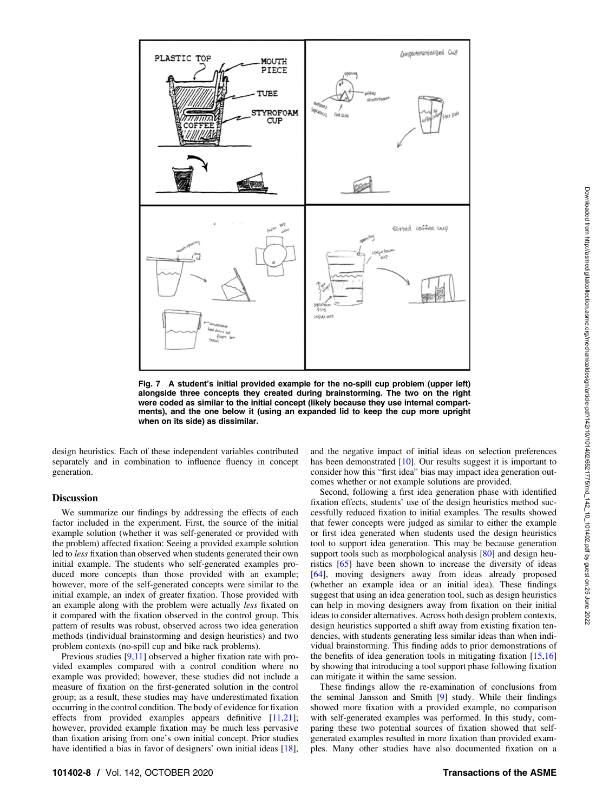<span id="page-7-0"></span>

Fig. 7 A student's initial provided example for the no-spill cup problem (upper left) alongside three concepts they created during brainstorming. The two on the right were coded as similar to the initial concept (likely because they use internal compartments), and the one below it (using an expanded lid to keep the cup more upright when on its side) as dissimilar.

design heuristics. Each of these independent variables contributed separately and in combination to influence fluency in concept generation.

### **Discussion**

We summarize our findings by addressing the effects of each factor included in the experiment. First, the source of the initial example solution (whether it was self-generated or provided with the problem) affected fixation: Seeing a provided example solution led to less fixation than observed when students generated their own initial example. The students who self-generated examples produced more concepts than those provided with an example; however, more of the self-generated concepts were similar to the initial example, an index of greater fixation. Those provided with an example along with the problem were actually *less* fixated on it compared with the fixation observed in the control group. This pattern of results was robust, observed across two idea generation methods (individual brainstorming and design heuristics) and two problem contexts (no-spill cup and bike rack problems).

Previous studies [\[9,11\]](#page-9-0) observed a higher fixation rate with provided examples compared with a control condition where no example was provided; however, these studies did not include a measure of fixation on the first-generated solution in the control group; as a result, these studies may have underestimated fixation occurring in the control condition. The body of evidence for fixation effects from provided examples appears definitive [\[11](#page-9-0),[21\]](#page-10-0); however, provided example fixation may be much less pervasive than fixation arising from one's own initial concept. Prior studies have identified a bias in favor of designers' own initial ideas [[18\]](#page-10-0),

and the negative impact of initial ideas on selection preferences has been demonstrated [[10\]](#page-9-0). Our results suggest it is important to consider how this "first idea" bias may impact idea generation outcomes whether or not example solutions are provided.

Second, following a first idea generation phase with identified fixation effects, students' use of the design heuristics method successfully reduced fixation to initial examples. The results showed that fewer concepts were judged as similar to either the example or first idea generated when students used the design heuristics tool to support idea generation. This may be because generation support tools such as morphological analysis  $[80]$  $[80]$  and design heuristics [\[65](#page-10-0)] have been shown to increase the diversity of ideas [[64\]](#page-10-0), moving designers away from ideas already proposed (whether an example idea or an initial idea). These findings suggest that using an idea generation tool, such as design heuristics can help in moving designers away from fixation on their initial ideas to consider alternatives. Across both design problem contexts, design heuristics supported a shift away from existing fixation tendencies, with students generating less similar ideas than when individual brainstorming. This finding adds to prior demonstrations of the benefits of idea generation tools in mitigating fixation  $[15,16]$  $[15,16]$  $[15,16]$ by showing that introducing a tool support phase following fixation can mitigate it within the same session.

These findings allow the re-examination of conclusions from the seminal Jansson and Smith [\[9\]](#page-9-0) study. While their findings showed more fixation with a provided example, no comparison with self-generated examples was performed. In this study, comparing these two potential sources of fixation showed that selfgenerated examples resulted in more fixation than provided examples. Many other studies have also documented fixation on a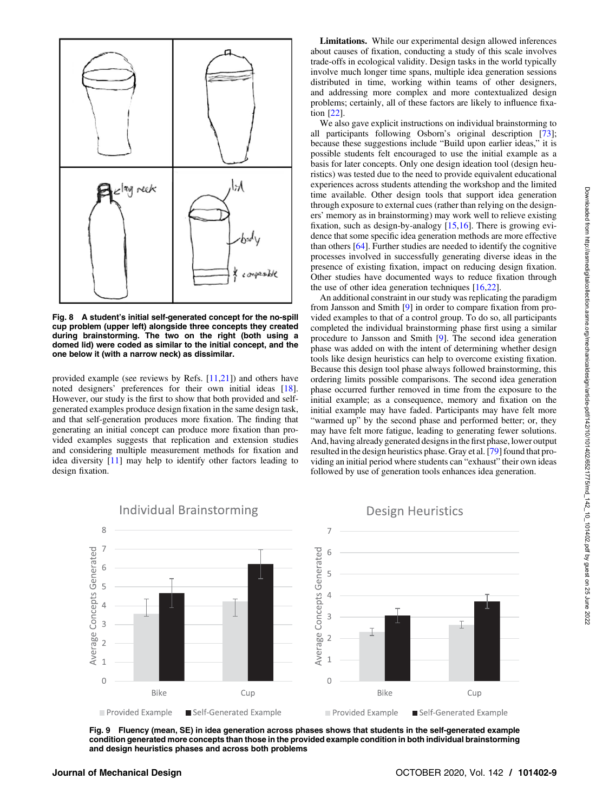<span id="page-8-0"></span>

Fig. 8 A student's initial self-generated concept for the no-spill cup problem (upper left) alongside three concepts they created during brainstorming. The two on the right (both using a domed lid) were coded as similar to the initial concept, and the one below it (with a narrow neck) as dissimilar.

provided example (see reviews by Refs.  $[11,21]$  $[11,21]$  $[11,21]$ ) and others have noted designers' preferences for their own initial ideas [[18\]](#page-10-0). However, our study is the first to show that both provided and selfgenerated examples produce design fixation in the same design task, and that self-generation produces more fixation. The finding that generating an initial concept can produce more fixation than provided examples suggests that replication and extension studies and considering multiple measurement methods for fixation and idea diversity [\[11\]](#page-9-0) may help to identify other factors leading to design fixation.

Limitations. While our experimental design allowed inferences about causes of fixation, conducting a study of this scale involves trade-offs in ecological validity. Design tasks in the world typically involve much longer time spans, multiple idea generation sessions distributed in time, working within teams of other designers, and addressing more complex and more contextualized design problems; certainly, all of these factors are likely to influence fixation [\[22](#page-10-0)].

We also gave explicit instructions on individual brainstorming to all participants following Osborn's original description [[73\]](#page-10-0); because these suggestions include "Build upon earlier ideas," it is possible students felt encouraged to use the initial example as a basis for later concepts. Only one design ideation tool (design heuristics) was tested due to the need to provide equivalent educational experiences across students attending the workshop and the limited time available. Other design tools that support idea generation through exposure to external cues (rather than relying on the designers' memory as in brainstorming) may work well to relieve existing fixation, such as design-by-analogy [[15](#page-10-0),[16\]](#page-10-0). There is growing evidence that some specific idea generation methods are more effective than others [\[64](#page-10-0)]. Further studies are needed to identify the cognitive processes involved in successfully generating diverse ideas in the presence of existing fixation, impact on reducing design fixation. Other studies have documented ways to reduce fixation through the use of other idea generation techniques [[16,22\]](#page-10-0).

An additional constraint in our study was replicating the paradigm from Jansson and Smith [\[9\]](#page-9-0) in order to compare fixation from provided examples to that of a control group. To do so, all participants completed the individual brainstorming phase first using a similar procedure to Jansson and Smith [\[9\]](#page-9-0). The second idea generation phase was added on with the intent of determining whether design tools like design heuristics can help to overcome existing fixation. Because this design tool phase always followed brainstorming, this ordering limits possible comparisons. The second idea generation phase occurred further removed in time from the exposure to the initial example; as a consequence, memory and fixation on the initial example may have faded. Participants may have felt more "warmed up" by the second phase and performed better; or, they may have felt more fatigue, leading to generating fewer solutions. And, having already generated designs in the first phase, lower output resulted in the design heuristics phase. Gray et al. [[79\]](#page-10-0) found that providing an initial period where students can "exhaust" their own ideas followed by use of generation tools enhances idea generation.



Fig. 9 Fluency (mean, SE) in idea generation across phases shows that students in the self-generated example condition generated more concepts than those in the provided example condition in both individual brainstorming and design heuristics phases and across both problems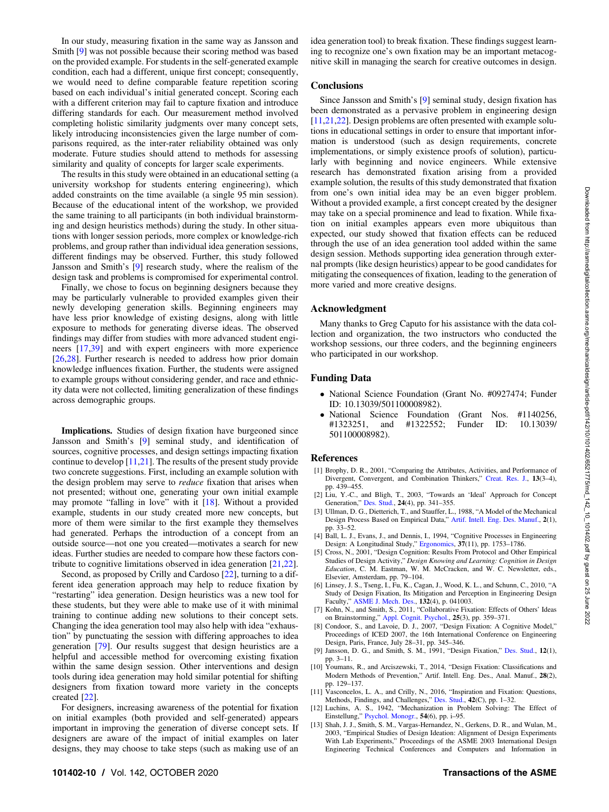<span id="page-9-0"></span>In our study, measuring fixation in the same way as Jansson and Smith [9] was not possible because their scoring method was based on the provided example. For students in the self-generated example condition, each had a different, unique first concept; consequently, we would need to define comparable feature repetition scoring based on each individual's initial generated concept. Scoring each with a different criterion may fail to capture fixation and introduce differing standards for each. Our measurement method involved completing holistic similarity judgments over many concept sets, likely introducing inconsistencies given the large number of comparisons required, as the inter-rater reliability obtained was only moderate. Future studies should attend to methods for assessing similarity and quality of concepts for larger scale experiments.

The results in this study were obtained in an educational setting (a university workshop for students entering engineering), which added constraints on the time available (a single 95 min session). Because of the educational intent of the workshop, we provided the same training to all participants (in both individual brainstorming and design heuristics methods) during the study. In other situations with longer session periods, more complex or knowledge-rich problems, and group rather than individual idea generation sessions, different findings may be observed. Further, this study followed Jansson and Smith's [9] research study, where the realism of the design task and problems is compromised for experimental control.

Finally, we chose to focus on beginning designers because they may be particularly vulnerable to provided examples given their newly developing generation skills. Beginning engineers may have less prior knowledge of existing designs, along with little exposure to methods for generating diverse ideas. The observed findings may differ from studies with more advanced student engineers [\[17](#page-10-0),[39\]](#page-10-0) and with expert engineers with more experience [[26,28](#page-10-0)]. Further research is needed to address how prior domain knowledge influences fixation. Further, the students were assigned to example groups without considering gender, and race and ethnicity data were not collected, limiting generalization of these findings across demographic groups.

Implications. Studies of design fixation have burgeoned since Jansson and Smith's [9] seminal study, and identification of sources, cognitive processes, and design settings impacting fixation continue to develop  $[11,21]$  $[11,21]$ . The results of the present study provide two concrete suggestions. First, including an example solution with the design problem may serve to *reduce* fixation that arises when not presented; without one, generating your own initial example may promote "falling in love" with it [\[18](#page-10-0)]. Without a provided example, students in our study created more new concepts, but more of them were similar to the first example they themselves had generated. Perhaps the introduction of a concept from an outside source—not one you created—motivates a search for new ideas. Further studies are needed to compare how these factors contribute to cognitive limitations observed in idea generation [[21,22\]](#page-10-0).

Second, as proposed by Crilly and Cardoso [[22\]](#page-10-0), turning to a different idea generation approach may help to reduce fixation by "restarting" idea generation. Design heuristics was a new tool for these students, but they were able to make use of it with minimal training to continue adding new solutions to their concept sets. Changing the idea generation tool may also help with idea "exhaustion" by punctuating the session with differing approaches to idea generation [\[79](#page-10-0)]. Our results suggest that design heuristics are a helpful and accessible method for overcoming existing fixation within the same design session. Other interventions and design tools during idea generation may hold similar potential for shifting designers from fixation toward more variety in the concepts created [\[22](#page-10-0)].

For designers, increasing awareness of the potential for fixation on initial examples (both provided and self-generated) appears important in improving the generation of diverse concept sets. If designers are aware of the impact of initial examples on later designs, they may choose to take steps (such as making use of an idea generation tool) to break fixation. These findings suggest learning to recognize one's own fixation may be an important metacognitive skill in managing the search for creative outcomes in design.

### **Conclusions**

Since Jansson and Smith's [9] seminal study, design fixation has been demonstrated as a pervasive problem in engineering design [11[,21,22](#page-10-0)]. Design problems are often presented with example solutions in educational settings in order to ensure that important information is understood (such as design requirements, concrete implementations, or simply existence proofs of solution), particularly with beginning and novice engineers. While extensive research has demonstrated fixation arising from a provided example solution, the results of this study demonstrated that fixation from one's own initial idea may be an even bigger problem. Without a provided example, a first concept created by the designer may take on a special prominence and lead to fixation. While fixation on initial examples appears even more ubiquitous than expected, our study showed that fixation effects can be reduced through the use of an idea generation tool added within the same design session. Methods supporting idea generation through external prompts (like design heuristics) appear to be good candidates for mitigating the consequences of fixation, leading to the generation of more varied and more creative designs.

### Acknowledgment

Many thanks to Greg Caputo for his assistance with the data collection and organization, the two instructors who conducted the workshop sessions, our three coders, and the beginning engineers who participated in our workshop.

#### Funding Data

- National Science Foundation (Grant No. #0927474; Funder ID: 10.13039/501100008982).
- National Science Foundation (Grant Nos. #1140256, #1323251, and #1322552; Funder ID: 10.13039/ 501100008982).

#### References

- [1] Brophy, D. R., 2001, "Comparing the Attributes, Activities, and Performance of Divergent, Convergent, and Combination Thinkers," [Creat. Res. J.](http://dx.doi.org/10.1207/S15326934CRJ1334_20), 13(3–4), pp. 439–455.
- [2] Liu, Y.-C., and Bligh, T., 2003, "Towards an 'Ideal' Approach for Concept Generation," [Des. Stud.](http://dx.doi.org/10.1016/S0142-694X(03)00003-6), 24(4), pp. 341–355.
- [3] Ullman, D. G., Dietterich, T., and Stauffer, L., 1988, "A Model of the Mechanical Design Process Based on Empirical Data," [Artif. Intell. Eng. Des. Manuf.,](http://dx.doi.org/10.1017/S0890060400000536) 2(1), pp. 33–52.
- [4] Ball, L. J., Evans, J., and Dennis, I., 1994, "Cognitive Processes in Engineering Design: A Longitudinal Study," [Ergonomics,](http://dx.doi.org/10.1080/00140139408964950) 37(11), pp. 1753–1786.
- [5] Cross, N., 2001, "Design Cognition: Results From Protocol and Other Empirical Studies of Design Activity," Design Knowing and Learning: Cognition in Design Education, C. M. Eastman, W. M. McCracken, and W. C. Newsletter, eds., Elsevier, Amsterdam, pp. 79–104.
- [6] Linsey, J. S., Tseng, I., Fu, K., Cagan, J., Wood, K. L., and Schunn, C., 2010, "A Study of Design Fixation, Its Mitigation and Perception in Engineering Design Faculty," [ASME J. Mech. Des.](http://dx.doi.org/10.1115/1.4001110), 132(4), p. 041003.
- [7] Kohn, N., and Smith, S., 2011, "Collaborative Fixation: Effects of Others' Ideas on Brainstorming," [Appl. Cognit. Psychol.,](http://dx.doi.org/10.1002/acp.1699) 25(3), pp. 359–371.
- [8] Condoor, S., and Lavoie, D. J., 2007, "Design Fixation: A Cognitive Model," Proceedings of ICED 2007, the 16th International Conference on Engineering Design, Paris, France, July 28–31, pp. 345–346.
- [9] Jansson, D. G., and Smith, S. M., 1991, "Design Fixation," [Des. Stud.,](http://dx.doi.org/10.1016/0142-694X(91)90003-F) 12(1), pp. 3–11.
- [10] Youmans, R., and Arciszewski, T., 2014, "Design Fixation: Classifications and Modern Methods of Prevention," Artif. Intell. Eng. Des., Anal. Manuf., 28(2), pp. 129–137.
- [11] Vasconcelos, L. A., and Crilly, N., 2016, "Inspiration and Fixation: Questions, Methods, Findings, and Challenges," [Des. Stud.,](https://dx.doi.org/10.1016/j.destud.2015.11.001) 42(C), pp. 1–32.
- [12] Luchins, A. S., 1942, "Mechanization in Problem Solving: The Effect of Einstellung," [Psychol. Monogr.,](http://dx.doi.org/10.1037/h0093502) 54(6), pp. i–95.
- [13] Shah, J. J., Smith, S. M., Vargas-Hernandez, N., Gerkens, D. R., and Wulan, M., 2003, "Empirical Studies of Design Ideation: Alignment of Design Experiments With Lab Experiments," Proceedings of the ASME 2003 International Design Engineering Technical Conferences and Computers and Information in